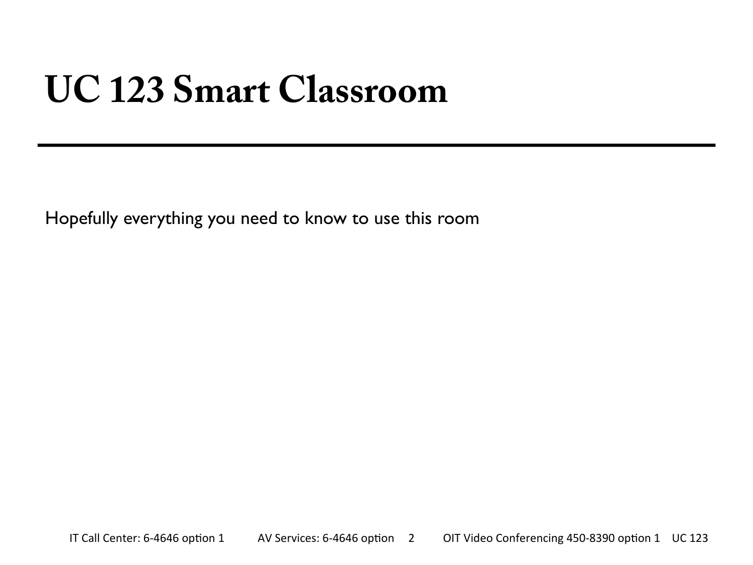#### **UC 123 Smart Classroom**

Hopefully everything you need to know to use this room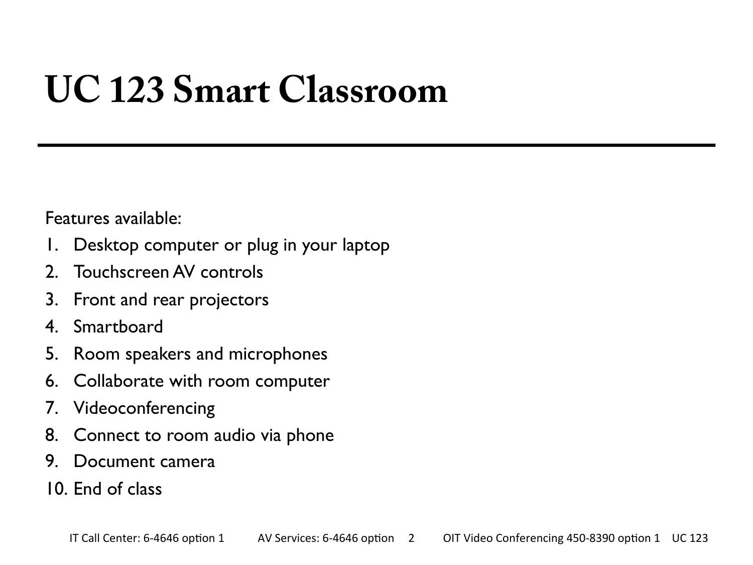### **UC 123 Smart Classroom**

Features available:

- 1. Desktop computer or plug in your laptop
- 2. Touchscreen AV controls
- 3. Front and rear projectors
- 4. Smartboard
- 5. Room speakers and microphones
- 6. Collaborate with room computer
- 7. Videoconferencing
- 8. Connect to room audio via phone
- 9. Document camera
- 10. End of class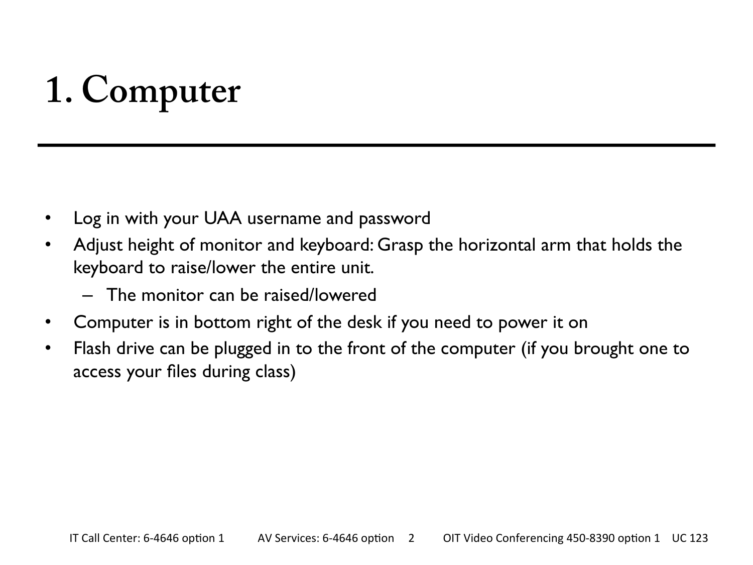# **1. Computer**

- Log in with your UAA username and password
- Adjust height of monitor and keyboard: Grasp the horizontal arm that holds the keyboard to raise/lower the entire unit.
	- The monitor can be raised/lowered
- Computer is in bottom right of the desk if you need to power it on
- Flash drive can be plugged in to the front of the computer (if you brought one to access your files during class)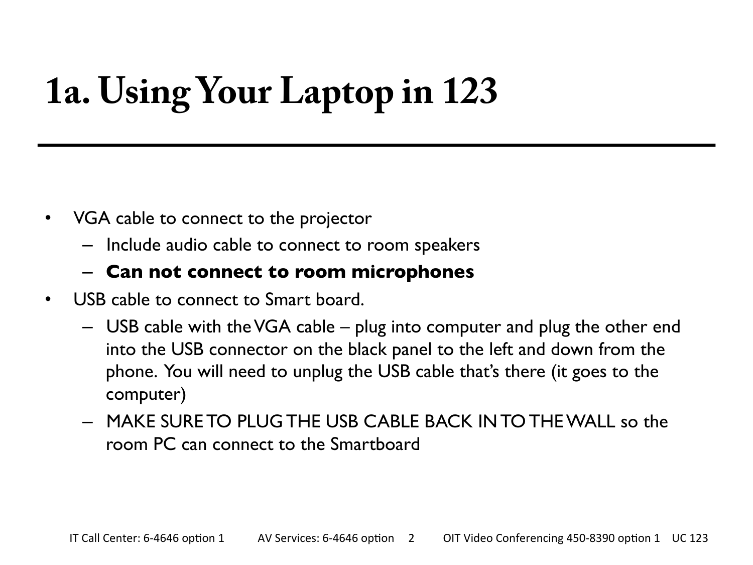# **1a. Using Your Laptop in 123**

- VGA cable to connect to the projector
	- Include audio cable to connect to room speakers

#### – **Can not connect to room microphones**

- USB cable to connect to Smart board.
	- USB cable with the VGA cable plug into computer and plug the other end into the USB connector on the black panel to the left and down from the phone. You will need to unplug the USB cable that's there (it goes to the computer)
	- MAKE SURE TO PLUG THE USB CABLE BACK IN TO THE WALL so the room PC can connect to the Smartboard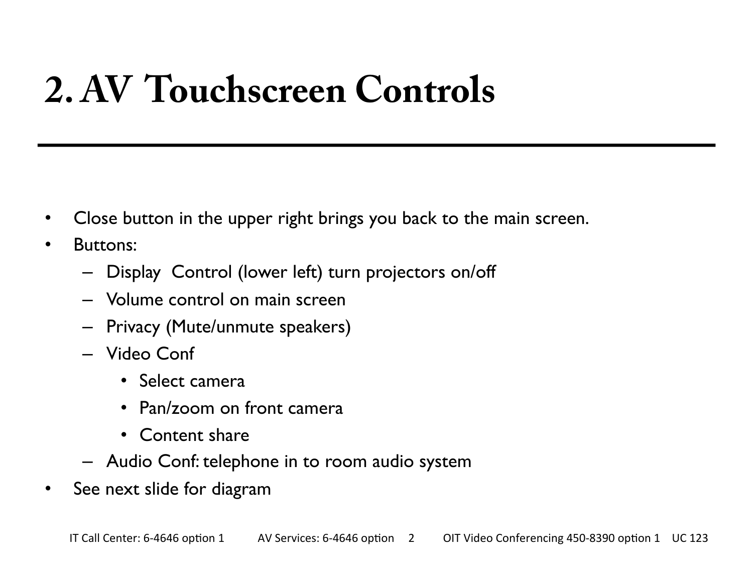## **2. AV Touchscreen Controls**

- Close button in the upper right brings you back to the main screen.
- Buttons:
	- Display Control (lower left) turn projectors on/off
	- Volume control on main screen
	- Privacy (Mute/unmute speakers)
	- Video Conf
		- Select camera
		- Pan/zoom on front camera
		- Content share
	- Audio Conf: telephone in to room audio system
- See next slide for diagram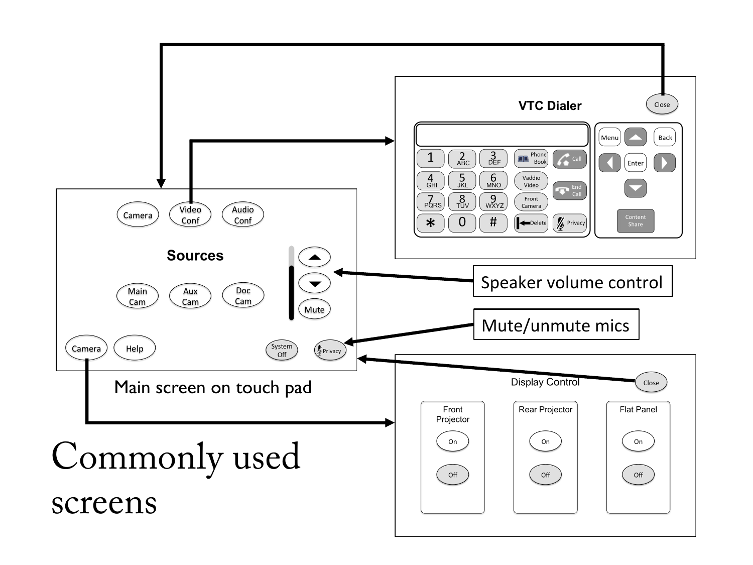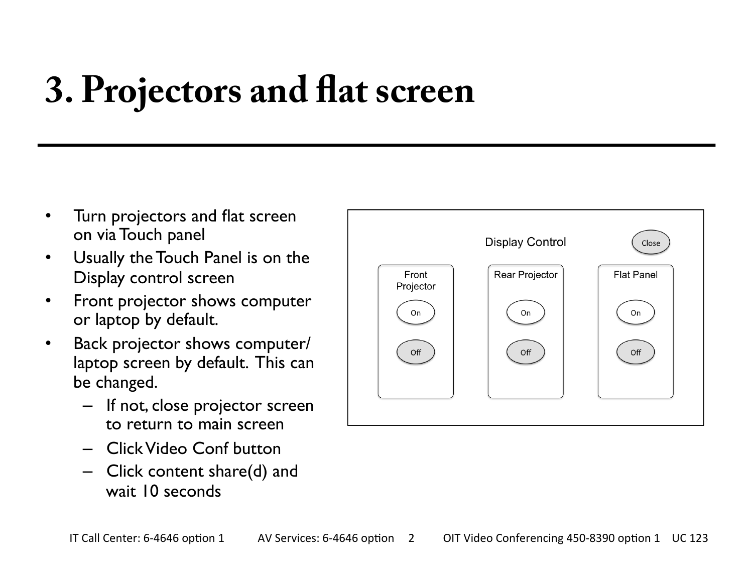## **3. Projectors and fat screen**

- Turn projectors and flat screen on via Touch panel
- Usually the Touch Panel is on the Display control screen
- Front projector shows computer or laptop by default.
- Back projector shows computer/ laptop screen by default. This can be changed.
	- If not, close projector screen to return to main screen
	- Click Video Conf button
	- Click content share(d) and wait 10 seconds

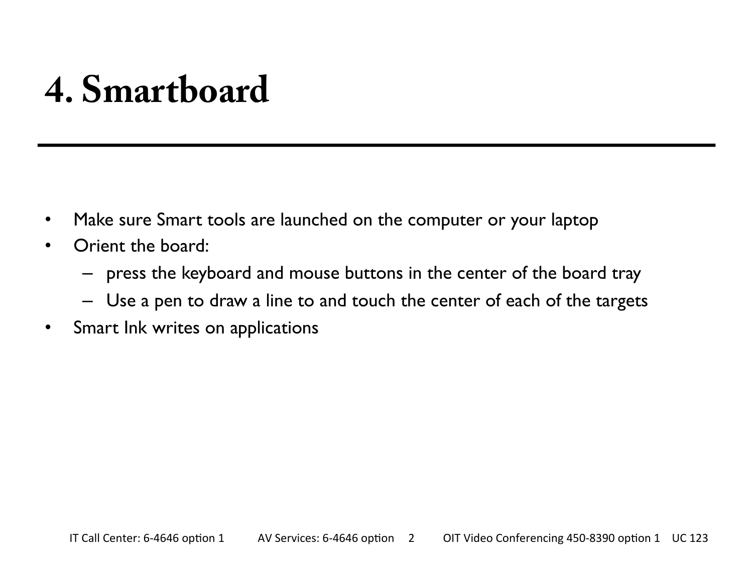#### **4. Smartboard**

- Make sure Smart tools are launched on the computer or your laptop
- Orient the board:
	- press the keyboard and mouse buttons in the center of the board tray
	- Use a pen to draw a line to and touch the center of each of the targets
- Smart Ink writes on applications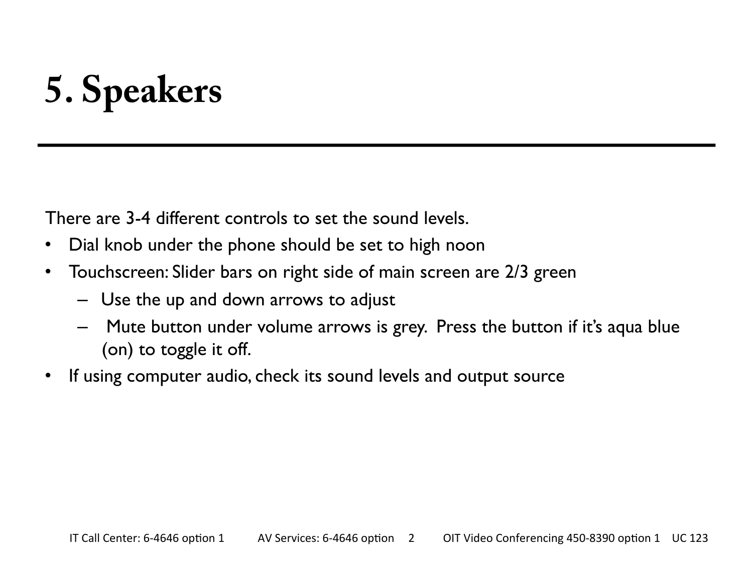# **5. Speakers**

There are 3-4 different controls to set the sound levels.

- Dial knob under the phone should be set to high noon
- Touchscreen: Slider bars on right side of main screen are 2/3 green
	- Use the up and down arrows to adjust
	- Mute button under volume arrows is grey. Press the button if it's aqua blue (on) to toggle it off.
- If using computer audio, check its sound levels and output source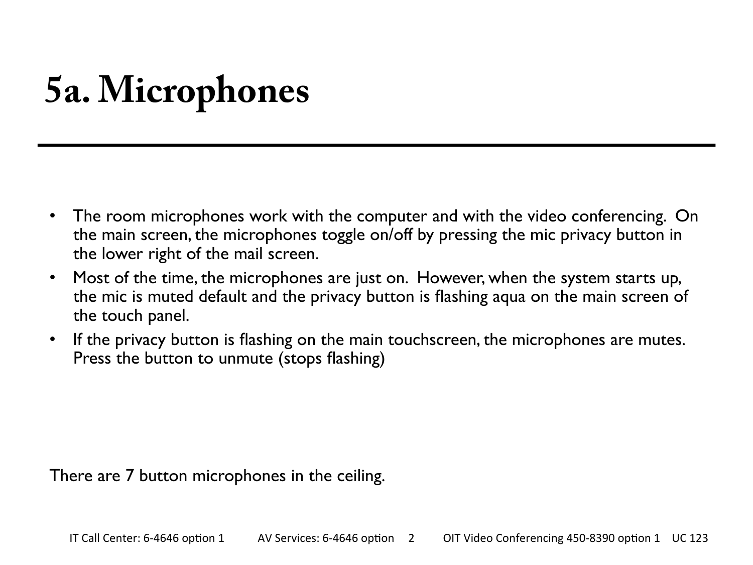## **5a. Microphones**

- The room microphones work with the computer and with the video conferencing. On the main screen, the microphones toggle on/off by pressing the mic privacy button in the lower right of the mail screen.
- Most of the time, the microphones are just on. However, when the system starts up, the mic is muted default and the privacy button is flashing aqua on the main screen of the touch panel.
- If the privacy button is flashing on the main touchscreen, the microphones are mutes. Press the button to unmute (stops flashing)

There are 7 button microphones in the ceiling.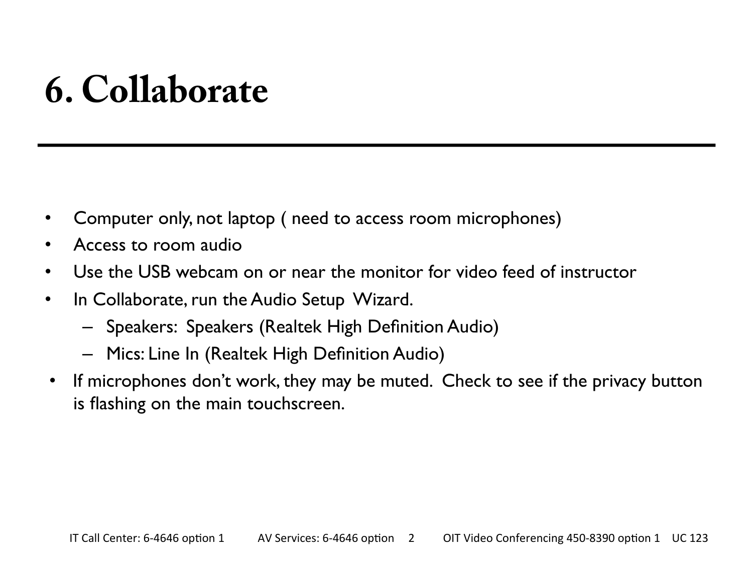#### **6. Collaborate**

- Computer only, not laptop ( need to access room microphones)
- Access to room audio
- Use the USB webcam on or near the monitor for video feed of instructor
- In Collaborate, run the Audio Setup Wizard.
	- Speakers: Speakers (Realtek High Definition Audio)
	- Mics: Line In (Realtek High Definition Audio)
- If microphones don't work, they may be muted. Check to see if the privacy button is flashing on the main touchscreen.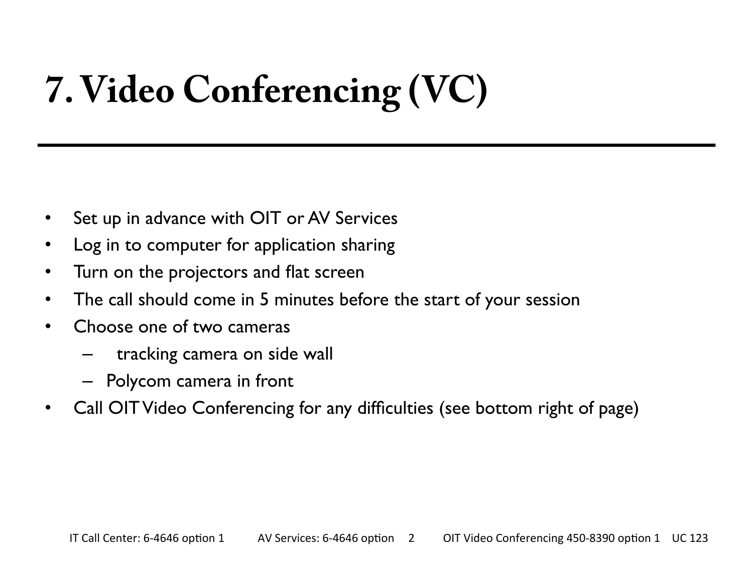# **7. Video Conferencing (VC)**

- Set up in advance with OIT or AV Services
- Log in to computer for application sharing
- Turn on the projectors and flat screen
- The call should come in 5 minutes before the start of your session
- Choose one of two cameras
	- tracking camera on side wall
	- Polycom camera in front
- Call OIT Video Conferencing for any difficulties (see bottom right of page)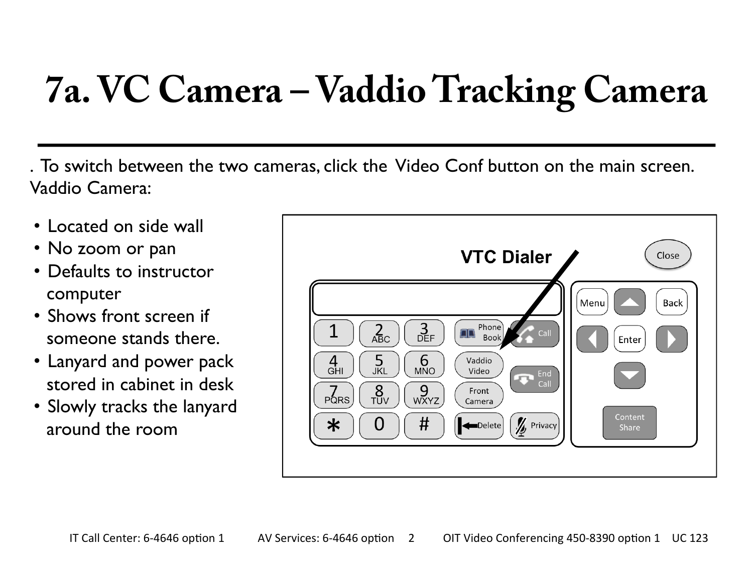## **7a. VC Camera – Vaddio Tracking Camera**

. To switch between the two cameras, click the Video Conf button on the main screen. Vaddio Camera:

- Located on side wall
- No zoom or pan
- Defaults to instructor computer
- Shows front screen if someone stands there.
- Lanyard and power pack stored in cabinet in desk
- Slowly tracks the lanyard around the room

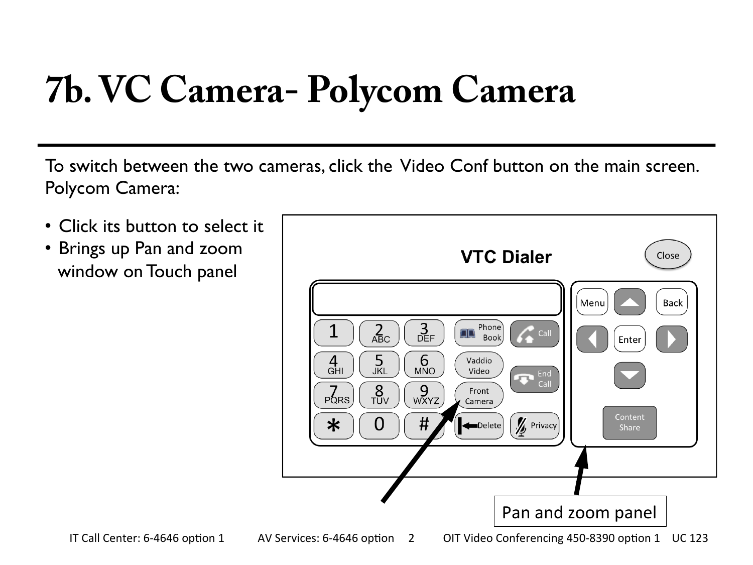## **7b. VC Camera- Polycom Camera**

To switch between the two cameras, click the Video Conf button on the main screen. Polycom Camera:

• Click its button to select it • Brings up Pan and zoom window on Touch panel

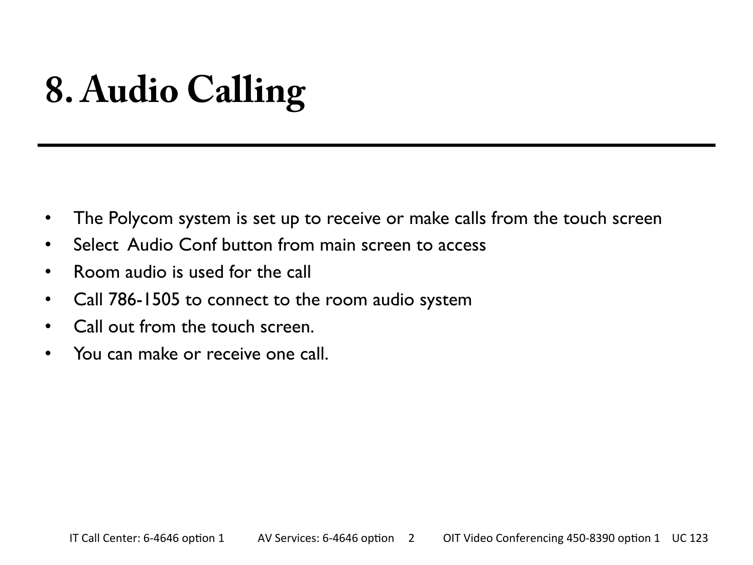# **8. Audio Calling**

- The Polycom system is set up to receive or make calls from the touch screen
- Select Audio Conf button from main screen to access
- Room audio is used for the call
- Call 786-1505 to connect to the room audio system
- Call out from the touch screen.
- You can make or receive one call.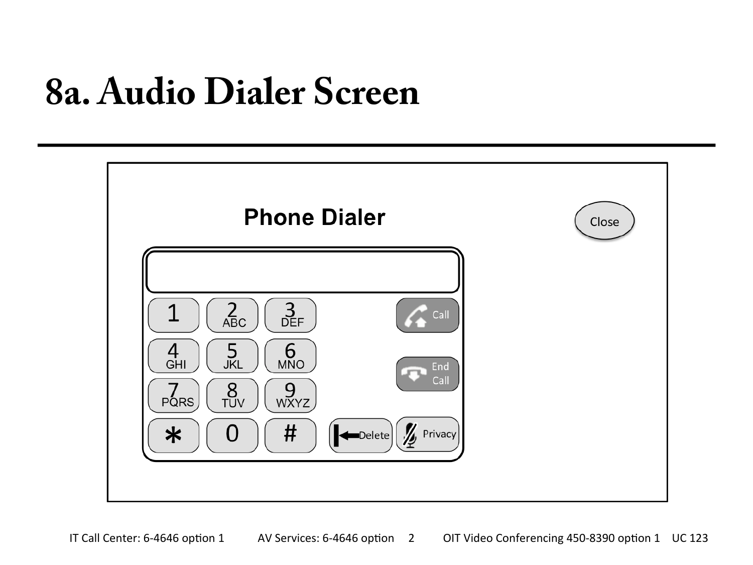#### **8a. Audio Dialer Screen**

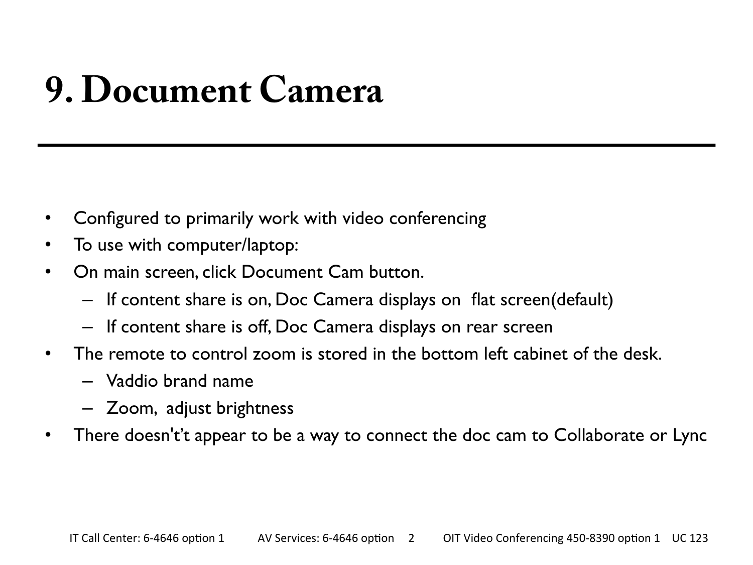### **9. Document Camera**

- Configured to primarily work with video conferencing
- To use with computer/laptop:
- On main screen, click Document Cam button.
	- If content share is on, Doc Camera displays on flat screen(default)
	- If content share is off, Doc Camera displays on rear screen
- The remote to control zoom is stored in the bottom left cabinet of the desk.
	- Vaddio brand name
	- Zoom, adjust brightness
- There doesn't't appear to be a way to connect the doc cam to Collaborate or Lync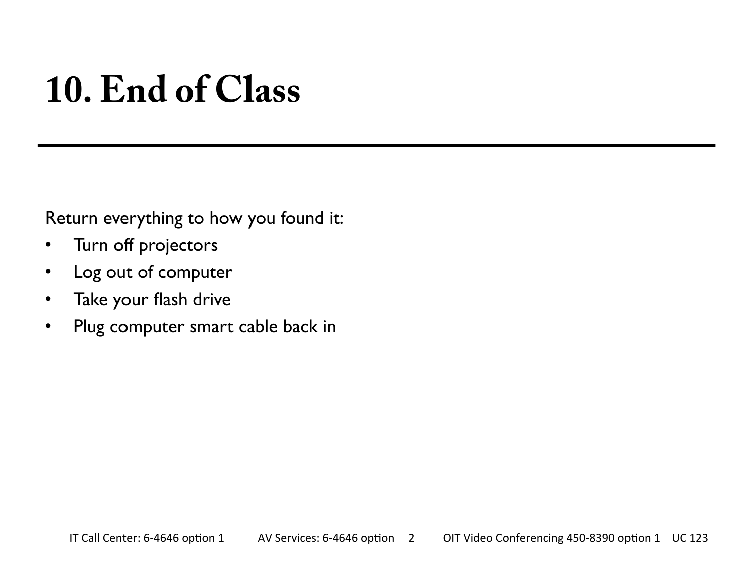#### **10. End of Class**

Return everything to how you found it:

- Turn off projectors
- Log out of computer
- Take your flash drive
- Plug computer smart cable back in